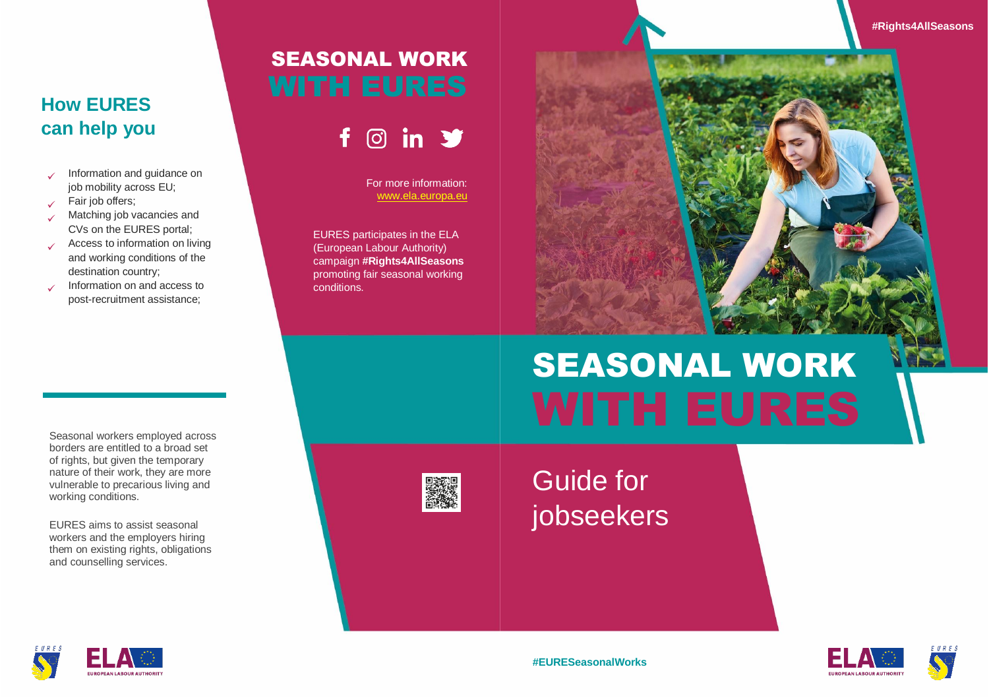**#Rights4AllSeasons**

# **How EURES can help you**

- $\checkmark$ Information and guidance on job mobility across EU;
- $\checkmark$ Fair job offers;
- Matching job vacancies and CVs on the EURES portal;
- ✓ Access to information on living and working conditions of the destination country;
- ✓ Information on and access to post-recruitment assistance;

# SEASONAL WORK

 $\circ$  in  $\bullet$ f.

> For more information: [www.ela.europa.eu](file:///F:/www.ela.europa.eu)

EURES participates in the ELA (European Labour Authority) campaign **#Rights4AllSeasons** promoting fair seasonal working conditions.

# SEASONAL WORK

Seasonal workers employed across borders are entitled to a broad set of rights, but given the temporary nature of their work, they are more vulnerable to precarious living and working conditions.

EURES aims to assist seasonal workers and the employers hiring them on existing rights, obligations and counselling services.



Guide for jobseekers